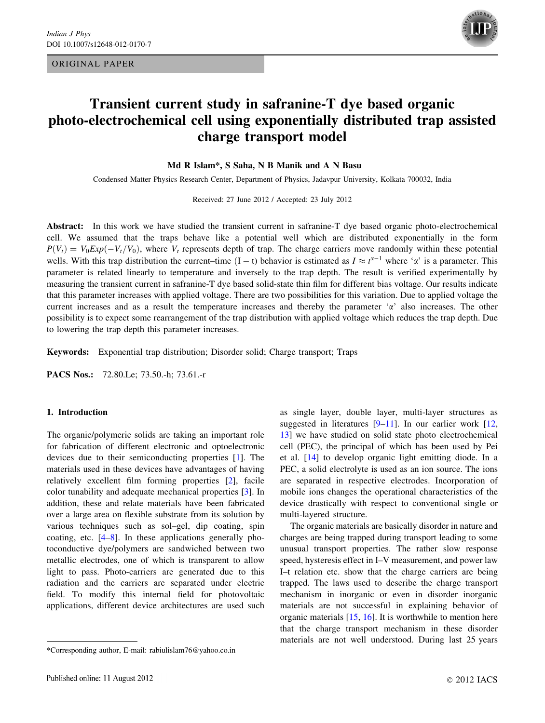ORIGINAL PAPER



# Transient current study in safranine-T dye based organic photo-electrochemical cell using exponentially distributed trap assisted charge transport model

Md R Islam\*, S Saha, N B Manik and A N Basu

Condensed Matter Physics Research Center, Department of Physics, Jadavpur University, Kolkata 700032, India

Received: 27 June 2012 / Accepted: 23 July 2012

Abstract: In this work we have studied the transient current in safranine-T dye based organic photo-electrochemical cell. We assumed that the traps behave like a potential well which are distributed exponentially in the form  $P(V_t) = V_0 Exp(-V_t/V_0)$ , where  $V_t$  represents depth of trap. The charge carriers move randomly within these potential wells. With this trap distribution the current–time  $(I - t)$  behavior is estimated as  $I \approx t^{\alpha-1}$  where ' $\alpha$ ' is a parameter. This parameter is related linearly to temperature and inversely to the trap depth. The result is verified experimentally by measuring the transient current in safranine-T dye based solid-state thin film for different bias voltage. Our results indicate that this parameter increases with applied voltage. There are two possibilities for this variation. Due to applied voltage the current increases and as a result the temperature increases and thereby the parameter  $\alpha$ ' also increases. The other possibility is to expect some rearrangement of the trap distribution with applied voltage which reduces the trap depth. Due to lowering the trap depth this parameter increases.

Keywords: Exponential trap distribution; Disorder solid; Charge transport; Traps

PACS Nos.: 72.80.Le; 73.50.-h; 73.61.-r

#### 1. Introduction

The organic/polymeric solids are taking an important role for fabrication of different electronic and optoelectronic devices due to their semiconducting properties [[1\]](#page-5-0). The materials used in these devices have advantages of having relatively excellent film forming properties [\[2](#page-5-0)], facile color tunability and adequate mechanical properties [\[3](#page-5-0)]. In addition, these and relate materials have been fabricated over a large area on flexible substrate from its solution by various techniques such as sol–gel, dip coating, spin coating, etc. [[4–8\]](#page-5-0). In these applications generally photoconductive dye/polymers are sandwiched between two metallic electrodes, one of which is transparent to allow light to pass. Photo-carriers are generated due to this radiation and the carriers are separated under electric field. To modify this internal field for photovoltaic applications, different device architectures are used such as single layer, double layer, multi-layer structures as suggested in literatures [\[9–11](#page-5-0)]. In our earlier work [[12,](#page-5-0) [13](#page-5-0)] we have studied on solid state photo electrochemical cell (PEC), the principal of which has been used by Pei et al. [[14\]](#page-5-0) to develop organic light emitting diode. In a PEC, a solid electrolyte is used as an ion source. The ions are separated in respective electrodes. Incorporation of mobile ions changes the operational characteristics of the device drastically with respect to conventional single or multi-layered structure.

The organic materials are basically disorder in nature and charges are being trapped during transport leading to some unusual transport properties. The rather slow response speed, hysteresis effect in I–V measurement, and power law I–t relation etc. show that the charge carriers are being trapped. The laws used to describe the charge transport mechanism in inorganic or even in disorder inorganic materials are not successful in explaining behavior of organic materials [[15,](#page-5-0) [16\]](#page-5-0). It is worthwhile to mention here that the charge transport mechanism in these disorder materials are not well understood. During last 25 years

<sup>\*</sup>Corresponding author, E-mail: rabiulislam76@yahoo.co.in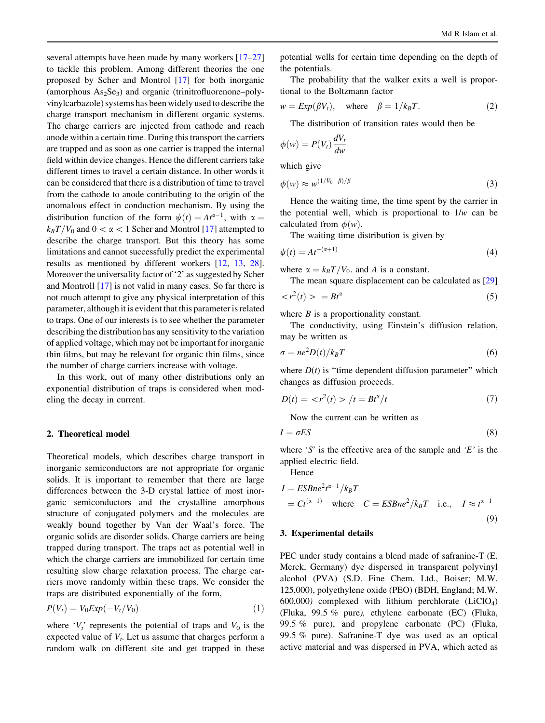<span id="page-1-0"></span>several attempts have been made by many workers [[17–27\]](#page-5-0) to tackle this problem. Among different theories the one proposed by Scher and Montrol [\[17](#page-5-0)] for both inorganic (amorphous  $As_2Se_3$ ) and organic (trinitrofluorenone–polyvinylcarbazole) systems has been widely used to describe the charge transport mechanism in different organic systems. The charge carriers are injected from cathode and reach anode within a certain time. During this transport the carriers are trapped and as soon as one carrier is trapped the internal field within device changes. Hence the different carriers take different times to travel a certain distance. In other words it can be considered that there is a distribution of time to travel from the cathode to anode contributing to the origin of the anomalous effect in conduction mechanism. By using the distribution function of the form  $\psi(t) = At^{\alpha-1}$ , with  $\alpha =$  $k_BT/V_0$  and  $0<\alpha<1$  Scher and Montrol [\[17](#page-5-0)] attempted to describe the charge transport. But this theory has some limitations and cannot successfully predict the experimental results as mentioned by different workers [\[12](#page-5-0), [13,](#page-5-0) [28](#page-5-0)]. Moreover the universality factor of '2' as suggested by Scher and Montroll [\[17](#page-5-0)] is not valid in many cases. So far there is not much attempt to give any physical interpretation of this parameter, although it is evident that this parameter is related to traps. One of our interests is to see whether the parameter describing the distribution has any sensitivity to the variation of applied voltage, which may not be important for inorganic thin films, but may be relevant for organic thin films, since the number of charge carriers increase with voltage.

In this work, out of many other distributions only an exponential distribution of traps is considered when modeling the decay in current.

#### 2. Theoretical model

Theoretical models, which describes charge transport in inorganic semiconductors are not appropriate for organic solids. It is important to remember that there are large differences between the 3-D crystal lattice of most inorganic semiconductors and the crystalline amorphous structure of conjugated polymers and the molecules are weakly bound together by Van der Waal's force. The organic solids are disorder solids. Charge carriers are being trapped during transport. The traps act as potential well in which the charge carriers are immobilized for certain time resulting slow charge relaxation process. The charge carriers move randomly within these traps. We consider the traps are distributed exponentially of the form,

$$
P(V_t) = V_0 Exp(-V_t/V_0)
$$
\n<sup>(1)</sup>

where ' $V_t$ ' represents the potential of traps and  $V_0$  is the expected value of  $V_t$ . Let us assume that charges perform a random walk on different site and get trapped in these

potential wells for certain time depending on the depth of the potentials.

The probability that the walker exits a well is proportional to the Boltzmann factor

$$
w = Exp(\beta V_t), \quad \text{where} \quad \beta = 1/k_B T. \tag{2}
$$

The distribution of transition rates would then be

$$
\phi(w) = P(V_t) \frac{dV_t}{dw}
$$

which give

$$
\phi(w) \approx w^{(1/V_0 - \beta)/\beta} \tag{3}
$$

Hence the waiting time, the time spent by the carrier in the potential well, which is proportional to  $1/w$  can be calculated from  $\phi(w)$ .

The waiting time distribution is given by

$$
\psi(t) = At^{-(\alpha+1)}\tag{4}
$$

where  $\alpha = k_B T/V_0$ . and A is a constant.

The mean square displacement can be calculated as [[29\]](#page-5-0)

$$
\langle r^2(t) \rangle = B t^{\alpha} \tag{5}
$$

where  $B$  is a proportionality constant.

The conductivity, using Einstein's diffusion relation, may be written as

$$
\sigma = ne^2 D(t) / k_B T \tag{6}
$$

where  $D(t)$  is "time dependent diffusion parameter" which changes as diffusion proceeds.

$$
D(t) = \langle r^2(t) \rangle / t = Bt^{\alpha}/t \tag{7}
$$

Now the current can be written as

$$
I = \sigma ES \tag{8}
$$

where 'S' is the effective area of the sample and 'E' is the applied electric field.

Hence

$$
I = ESBne2t\alpha-1/k_BT
$$
  
=  $Ct^{(\alpha-1)}$  where  $C = ESBne2/k_BT$  i.e.,  $I \approx t^{\alpha-1}$  (9)

### 3. Experimental details

PEC under study contains a blend made of safranine-T (E. Merck, Germany) dye dispersed in transparent polyvinyl alcohol (PVA) (S.D. Fine Chem. Ltd., Boiser; M.W. 125,000), polyethylene oxide (PEO) (BDH, England; M.W. 600,000) complexed with lithium perchlorate  $(LiClO<sub>4</sub>)$ (Fluka, 99.5 % pure), ethylene carbonate (EC) (Fluka, 99.5 % pure), and propylene carbonate (PC) (Fluka, 99.5 % pure). Safranine-T dye was used as an optical active material and was dispersed in PVA, which acted as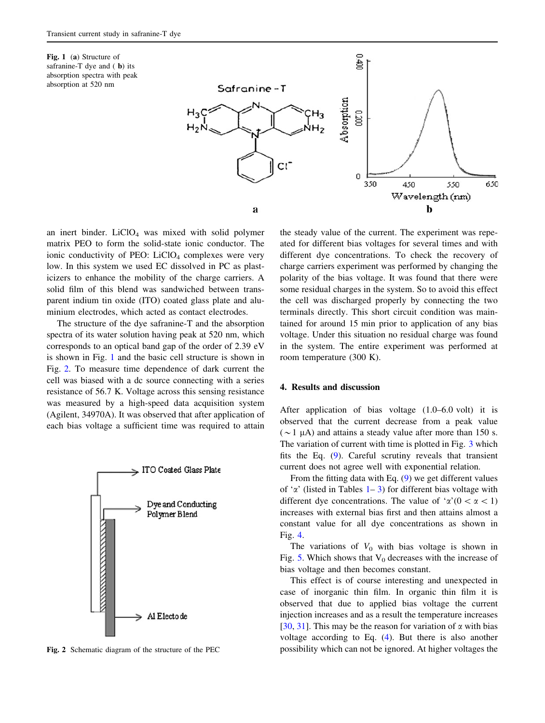Fig. 1 (a) Structure of safranine-T dye and (**b**) its absorption spectra with peak absorption at 520 nm



an inert binder.  $LiClO<sub>4</sub>$  was mixed with solid polymer matrix PEO to form the solid-state ionic conductor. The ionic conductivity of PEO:  $LiClO<sub>4</sub>$  complexes were very low. In this system we used EC dissolved in PC as plasticizers to enhance the mobility of the charge carriers. A solid film of this blend was sandwiched between transparent indium tin oxide (ITO) coated glass plate and aluminium electrodes, which acted as contact electrodes.

The structure of the dye safranine-T and the absorption spectra of its water solution having peak at 520 nm, which corresponds to an optical band gap of the order of 2.39 eV is shown in Fig. 1 and the basic cell structure is shown in Fig. 2. To measure time dependence of dark current the cell was biased with a dc source connecting with a series resistance of 56.7 K. Voltage across this sensing resistance was measured by a high-speed data acquisition system (Agilent, 34970A). It was observed that after application of each bias voltage a sufficient time was required to attain



Fig. 2 Schematic diagram of the structure of the PEC

the steady value of the current. The experiment was repeated for different bias voltages for several times and with different dye concentrations. To check the recovery of charge carriers experiment was performed by changing the polarity of the bias voltage. It was found that there were some residual charges in the system. So to avoid this effect the cell was discharged properly by connecting the two terminals directly. This short circuit condition was maintained for around 15 min prior to application of any bias voltage. Under this situation no residual charge was found in the system. The entire experiment was performed at room temperature (300 K).

#### 4. Results and discussion

After application of bias voltage (1.0–6.0 volt) it is observed that the current decrease from a peak value ( $\sim$ 1 µA) and attains a steady value after more than 150 s. The variation of current with time is plotted in Fig. [3](#page-3-0) which fits the Eq. ([9\)](#page-1-0). Careful scrutiny reveals that transient current does not agree well with exponential relation.

From the fitting data with Eq. ([9\)](#page-1-0) we get different values of ' $\alpha$ ' (listed in Tables [1–](#page-3-0)[3\)](#page-4-0) for different bias voltage with different dye concentrations. The value of ' $\alpha'(0<\alpha<1)$ increases with external bias first and then attains almost a constant value for all dye concentrations as shown in Fig. [4](#page-4-0).

The variations of  $V_0$  with bias voltage is shown in Fig. [5](#page-4-0). Which shows that  $V_0$  decreases with the increase of bias voltage and then becomes constant.

This effect is of course interesting and unexpected in case of inorganic thin film. In organic thin film it is observed that due to applied bias voltage the current injection increases and as a result the temperature increases [\[30](#page-5-0), [31](#page-5-0)]. This may be the reason for variation of  $\alpha$  with bias voltage according to Eq. [\(4](#page-1-0)). But there is also another possibility which can not be ignored. At higher voltages the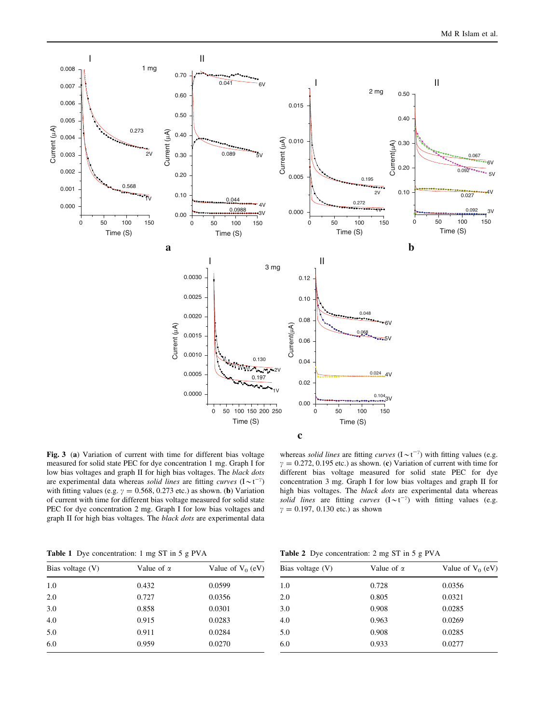<span id="page-3-0"></span>

Fig. 3 (a) Variation of current with time for different bias voltage measured for solid state PEC for dye concentration 1 mg. Graph I for low bias voltages and graph II for high bias voltages. The black dots are experimental data whereas solid lines are fitting curves  $(I \sim t^{-\gamma})$ with fitting values (e.g.  $\gamma = 0.568, 0.273$  etc.) as shown. (b) Variation of current with time for different bias voltage measured for solid state PEC for dye concentration 2 mg. Graph I for low bias voltages and graph II for high bias voltages. The black dots are experimental data

whereas solid lines are fitting curves  $(I \sim t^{-\gamma})$  with fitting values (e.g.  $\gamma = 0.272, 0.195$  etc.) as shown. (c) Variation of current with time for different bias voltage measured for solid state PEC for dye concentration 3 mg. Graph I for low bias voltages and graph II for high bias voltages. The black dots are experimental data whereas solid lines are fitting curves  $(I \sim t^{-\gamma})$  with fitting values (e.g.  $\gamma = 0.197, 0.130$  etc.) as shown

Table 1 Dye concentration: 1 mg ST in 5 g PVA

|  | <b>Table 2</b> Dye concentration: 2 mg ST in 5 g PVA |  |  |
|--|------------------------------------------------------|--|--|
|--|------------------------------------------------------|--|--|

| Bias voltage $(V)$ | Value of $\alpha$ | Value of $V_0$ (eV) |
|--------------------|-------------------|---------------------|
| 1.0                | 0.432             | 0.0599              |
| 2.0                | 0.727             | 0.0356              |
| 3.0                | 0.858             | 0.0301              |
| 4.0                | 0.915             | 0.0283              |
| 5.0                | 0.911             | 0.0284              |
| 6.0                | 0.959             | 0.0270              |

| Bias voltage (V) | Value of $\alpha$ | Value of $V_0$ (eV) |
|------------------|-------------------|---------------------|
|                  |                   |                     |
| 1.0              | 0.728             | 0.0356              |
| 2.0              | 0.805             | 0.0321              |
| 3.0              | 0.908             | 0.0285              |
| 4.0              | 0.963             | 0.0269              |
| 5.0              | 0.908             | 0.0285              |
| 6.0              | 0.933             | 0.0277              |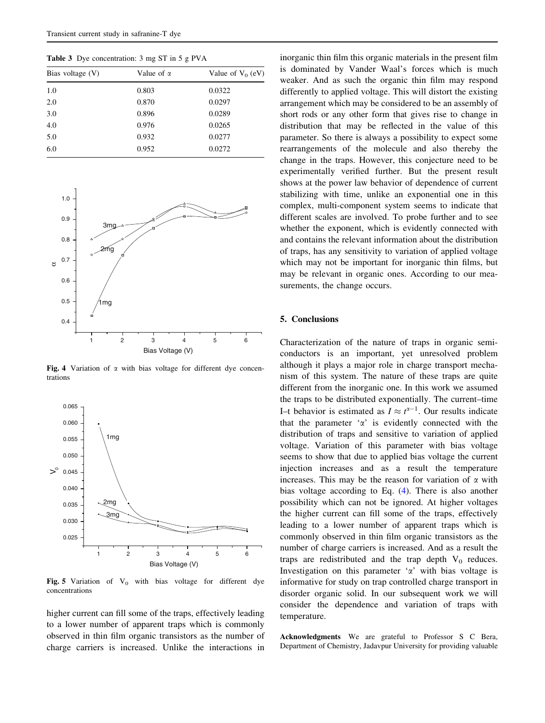<span id="page-4-0"></span>Table 3 Dye concentration: 3 mg ST in 5 g PVA

| Bias voltage $(V)$ | Value of $\alpha$ | Value of $V_0$ (eV) |  |  |
|--------------------|-------------------|---------------------|--|--|
| 1.0                | 0.803             | 0.0322              |  |  |
| 2.0                | 0.870             | 0.0297              |  |  |
| 3.0                | 0.896             | 0.0289              |  |  |
| 4.0                | 0.976             | 0.0265              |  |  |
| 5.0                | 0.932             | 0.0277              |  |  |
| 6.0                | 0.952             | 0.0272              |  |  |



Fig. 4 Variation of  $\alpha$  with bias voltage for different dye concentrations



Fig. 5 Variation of  $V_0$  with bias voltage for different dye concentrations

higher current can fill some of the traps, effectively leading to a lower number of apparent traps which is commonly observed in thin film organic transistors as the number of charge carriers is increased. Unlike the interactions in

inorganic thin film this organic materials in the present film is dominated by Vander Waal's forces which is much weaker. And as such the organic thin film may respond differently to applied voltage. This will distort the existing arrangement which may be considered to be an assembly of short rods or any other form that gives rise to change in distribution that may be reflected in the value of this parameter. So there is always a possibility to expect some rearrangements of the molecule and also thereby the change in the traps. However, this conjecture need to be experimentally verified further. But the present result shows at the power law behavior of dependence of current stabilizing with time, unlike an exponential one in this complex, multi-component system seems to indicate that different scales are involved. To probe further and to see whether the exponent, which is evidently connected with and contains the relevant information about the distribution of traps, has any sensitivity to variation of applied voltage which may not be important for inorganic thin films, but may be relevant in organic ones. According to our measurements, the change occurs.

## 5. Conclusions

Characterization of the nature of traps in organic semiconductors is an important, yet unresolved problem although it plays a major role in charge transport mechanism of this system. The nature of these traps are quite different from the inorganic one. In this work we assumed the traps to be distributed exponentially. The current–time I-t behavior is estimated as  $I \approx t^{\alpha-1}$ . Our results indicate that the parameter ' $\alpha$ ' is evidently connected with the distribution of traps and sensitive to variation of applied voltage. Variation of this parameter with bias voltage seems to show that due to applied bias voltage the current injection increases and as a result the temperature increases. This may be the reason for variation of  $\alpha$  with bias voltage according to Eq. ([4\)](#page-1-0). There is also another possibility which can not be ignored. At higher voltages the higher current can fill some of the traps, effectively leading to a lower number of apparent traps which is commonly observed in thin film organic transistors as the number of charge carriers is increased. And as a result the traps are redistributed and the trap depth  $V_0$  reduces. Investigation on this parameter  $\alpha$  with bias voltage is informative for study on trap controlled charge transport in disorder organic solid. In our subsequent work we will consider the dependence and variation of traps with temperature.

Acknowledgments We are grateful to Professor S C Bera, Department of Chemistry, Jadavpur University for providing valuable